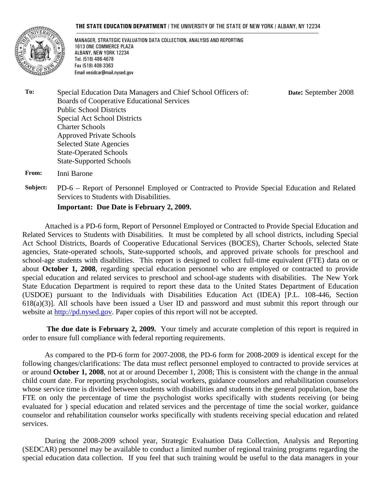#### **THE STATE EDUCATION DEPARTMENT** / THE UNIVERSITY OF THE STATE OF NEW YORK / ALBANY, NY 12234



MANAGER, STRATEGIC EVALUATION DATA COLLECTION, ANALYSIS AND REPORTING 1613 ONE COMMERCE PLAZA ALBANY, NEW YORK 12234 Tel. (518) 486-4678 Fax (518) 408-3363 Email vesidcar@mail.nysed.gov

**Date:** September 2008

**To:** Special Education Data Managers and Chief School Officers of: Boards of Cooperative Educational Services Public School Districts Special Act School Districts Charter Schools Approved Private Schools Selected State Agencies State-Operated Schools State-Supported Schools

**From:** Inni Barone

**Subject:** PD-6 – Report of Personnel Employed or Contracted to Provide Special Education and Related Services to Students with Disabilities.

**Important: Due Date is February 2, 2009.** 

Attached is a PD-6 form, Report of Personnel Employed or Contracted to Provide Special Education and Related Services to Students with Disabilities. It must be completed by all school districts, including Special Act School Districts, Boards of Cooperative Educational Services (BOCES), Charter Schools, selected State agencies, State-operated schools, State-supported schools, and approved private schools for preschool and school-age students with disabilities. This report is designed to collect full-time equivalent (FTE) data on or about **October 1, 2008**, regarding special education personnel who are employed or contracted to provide special education and related services to preschool and school-age students with disabilities. The New York State Education Department is required to report these data to the United States Department of Education (USDOE) pursuant to the Individuals with Disabilities Education Act (IDEA) [P.L. 108-446, Section  $618(a)(3)$ ]. All schools have been issued a User ID and password and must submit this report through our website at http://pd.nysed.gov. Paper copies of this report will not be accepted.

**The due date is February 2, 2009.** Your timely and accurate completion of this report is required in order to ensure full compliance with federal reporting requirements.

 As compared to the PD-6 form for 2007-2008, the PD-6 form for 2008-2009 is identical except for the following changes/clarifications: The data must reflect personnel employed to contracted to provide services at or around **October 1, 2008**, not at or around December 1, 2008; This is consistent with the change in the annual child count date. For reporting psychologists, social workers, guidance counselors and rehabilitation counselors whose service time is divided between students with disabilities and students in the general population, base the FTE on only the percentage of time the psychologist works specifically with students receiving (or being evaluated for ) special education and related services and the percentage of time the social worker, guidance counselor and rehabilitation counselor works specifically with students receiving special education and related services.

During the 2008-2009 school year, Strategic Evaluation Data Collection, Analysis and Reporting (SEDCAR) personnel may be available to conduct a limited number of regional training programs regarding the special education data collection. If you feel that such training would be useful to the data managers in your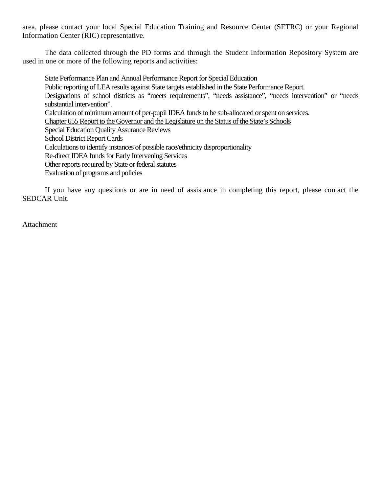area, please contact your local Special Education Training and Resource Center (SETRC) or your Regional Information Center (RIC) representative.

The data collected through the PD forms and through the Student Information Repository System are used in one or more of the following reports and activities:

State Performance Plan and Annual Performance Report for Special Education Public reporting of LEA results against State targets established in the State Performance Report. Designations of school districts as "meets requirements", "needs assistance", "needs intervention" or "needs substantial intervention". Calculation of minimum amount of per-pupil IDEA funds to be sub-allocated or spent on services. Chapter 655 Report to the Governor and the Legislature on the Status of the State's Schools Special Education Quality Assurance Reviews School District Report Cards Calculations to identify instances of possible race/ethnicity disproportionality Re-direct IDEA funds for Early Intervening Services Other reports required by State or federal statutes Evaluation of programs and policies

If you have any questions or are in need of assistance in completing this report, please contact the SEDCAR Unit.

Attachment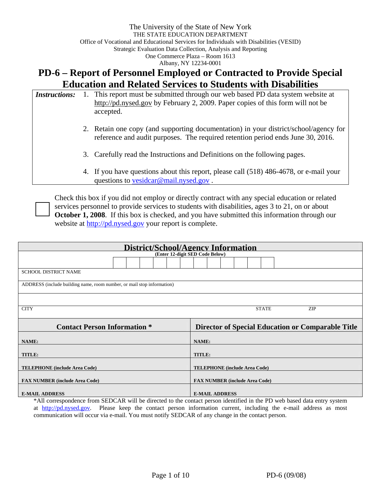# **PD-6 – Report of Personnel Employed or Contracted to Provide Special Education and Related Services to Students with Disabilities**

| <i>Instructions:</i> | 1. This report must be submitted through our web based PD data system website at<br>http://pd.nysed.gov by February 2, 2009. Paper copies of this form will not be<br>accepted. |
|----------------------|---------------------------------------------------------------------------------------------------------------------------------------------------------------------------------|
|                      | 2. Retain one copy (and supporting documentation) in your district/school/agency for<br>reference and audit purposes. The required retention period ends June 30, 2016.         |
|                      | 3. Carefully read the Instructions and Definitions on the following pages.                                                                                                      |
|                      | 4. If you have questions about this report, please call (518) 486-4678, or e-mail your<br>questions to vesidear@mail.nysed.gov.                                                 |

Check this box if you did not employ or directly contract with any special education or related services personnel to provide services to students with disabilities, ages 3 to 21, on or about **October 1, 2008**. If this box is checked, and you have submitted this information through our website at http://pd.nysed.gov your report is complete.

| District/School/Agency Information                                     |                                                   |  |  |  |  |  |  |
|------------------------------------------------------------------------|---------------------------------------------------|--|--|--|--|--|--|
| (Enter 12-digit SED Code Below)                                        |                                                   |  |  |  |  |  |  |
|                                                                        |                                                   |  |  |  |  |  |  |
| <b>SCHOOL DISTRICT NAME</b>                                            |                                                   |  |  |  |  |  |  |
| ADDRESS (include building name, room number, or mail stop information) |                                                   |  |  |  |  |  |  |
|                                                                        |                                                   |  |  |  |  |  |  |
| <b>CITY</b>                                                            | <b>STATE</b><br>ZIP                               |  |  |  |  |  |  |
| <b>Contact Person Information *</b>                                    | Director of Special Education or Comparable Title |  |  |  |  |  |  |
| NAME:                                                                  | NAME:                                             |  |  |  |  |  |  |
| TITLE:                                                                 | TITLE:                                            |  |  |  |  |  |  |
| <b>TELEPHONE</b> (include Area Code)                                   | <b>TELEPHONE</b> (include Area Code)              |  |  |  |  |  |  |
| <b>FAX NUMBER (include Area Code)</b>                                  | <b>FAX NUMBER (include Area Code)</b>             |  |  |  |  |  |  |
| <b>E-MAIL ADDRESS</b>                                                  | <b>E-MAIL ADDRESS</b>                             |  |  |  |  |  |  |

\*All correspondence from SEDCAR will be directed to the contact person identified in the PD web based data entry system at http://pd.nysed.gov. Please keep the contact person information current, including the e-mail address as most communication will occur via e-mail. You must notify SEDCAR of any change in the contact person.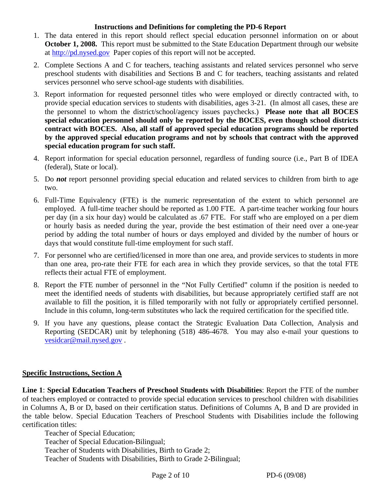#### **Instructions and Definitions for completing the PD-6 Report**

- 1. The data entered in this report should reflect special education personnel information on or about **October 1, 2008.** This report must be submitted to the State Education Department through our website at http://pd.nysed.gov Paper copies of this report will not be accepted.
- 2. Complete Sections A and C for teachers, teaching assistants and related services personnel who serve preschool students with disabilities and Sections B and C for teachers, teaching assistants and related services personnel who serve school-age students with disabilities.
- 3. Report information for requested personnel titles who were employed or directly contracted with, to provide special education services to students with disabilities, ages 3-21. (In almost all cases, these are the personnel to whom the district/school/agency issues paychecks.) **Please note that all BOCES special education personnel should only be reported by the BOCES, even though school districts contract with BOCES. Also, all staff of approved special education programs should be reported by the approved special education programs and not by schools that contract with the approved special education program for such staff.**
- 4. Report information for special education personnel, regardless of funding source (i.e., Part B of IDEA (federal), State or local).
- 5. Do *not* report personnel providing special education and related services to children from birth to age two.
- 6. Full-Time Equivalency (FTE) is the numeric representation of the extent to which personnel are employed. A full-time teacher should be reported as 1.00 FTE. A part-time teacher working four hours per day (in a six hour day) would be calculated as .67 FTE. For staff who are employed on a per diem or hourly basis as needed during the year, provide the best estimation of their need over a one-year period by adding the total number of hours or days employed and divided by the number of hours or days that would constitute full-time employment for such staff.
- 7. For personnel who are certified/licensed in more than one area, and provide services to students in more than one area, pro-rate their FTE for each area in which they provide services, so that the total FTE reflects their actual FTE of employment.
- 8. Report the FTE number of personnel in the "Not Fully Certified" column if the position is needed to meet the identified needs of students with disabilities, but because appropriately certified staff are not available to fill the position, it is filled temporarily with not fully or appropriately certified personnel. Include in this column, long-term substitutes who lack the required certification for the specified title.
- 9. If you have any questions, please contact the Strategic Evaluation Data Collection, Analysis and Reporting (SEDCAR) unit by telephoning (518) 486-4678. You may also e-mail your questions to vesidcar@mail.nysed.gov .

#### **Specific Instructions, Section A**

**Line 1**: **Special Education Teachers of Preschool Students with Disabilities**: Report the FTE of the number of teachers employed or contracted to provide special education services to preschool children with disabilities in Columns A, B or D, based on their certification status. Definitions of Columns A, B and D are provided in the table below. Special Education Teachers of Preschool Students with Disabilities include the following certification titles:

Teacher of Special Education; Teacher of Special Education-Bilingual; Teacher of Students with Disabilities, Birth to Grade 2; Teacher of Students with Disabilities, Birth to Grade 2-Bilingual;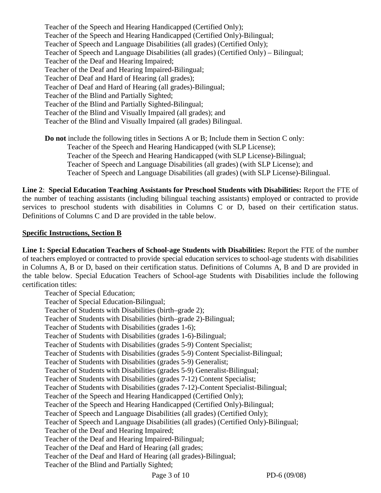Teacher of the Speech and Hearing Handicapped (Certified Only); Teacher of the Speech and Hearing Handicapped (Certified Only)-Bilingual; Teacher of Speech and Language Disabilities (all grades) (Certified Only); Teacher of Speech and Language Disabilities (all grades) (Certified Only) – Bilingual; Teacher of the Deaf and Hearing Impaired; Teacher of the Deaf and Hearing Impaired-Bilingual; Teacher of Deaf and Hard of Hearing (all grades); Teacher of Deaf and Hard of Hearing (all grades)-Bilingual; Teacher of the Blind and Partially Sighted; Teacher of the Blind and Partially Sighted-Bilingual; Teacher of the Blind and Visually Impaired (all grades); and Teacher of the Blind and Visually Impaired (all grades) Bilingual.

**Do not** include the following titles in Sections A or B; Include them in Section C only: Teacher of the Speech and Hearing Handicapped (with SLP License); Teacher of the Speech and Hearing Handicapped (with SLP License)-Bilingual; Teacher of Speech and Language Disabilities (all grades) (with SLP License); and Teacher of Speech and Language Disabilities (all grades) (with SLP License)-Bilingual.

**Line 2**: **Special Education Teaching Assistants for Preschool Students with Disabilities:** Report the FTE of the number of teaching assistants (including bilingual teaching assistants) employed or contracted to provide services to preschool students with disabilities in Columns C or D, based on their certification status. Definitions of Columns C and D are provided in the table below.

#### **Specific Instructions, Section B**

**Line 1: Special Education Teachers of School-age Students with Disabilities:** Report the FTE of the number of teachers employed or contracted to provide special education services to school-age students with disabilities in Columns A, B or D, based on their certification status. Definitions of Columns A, B and D are provided in the table below. Special Education Teachers of School-age Students with Disabilities include the following certification titles:

Teacher of Special Education; Teacher of Special Education-Bilingual; Teacher of Students with Disabilities (birth–grade 2); Teacher of Students with Disabilities (birth–grade 2)-Bilingual; Teacher of Students with Disabilities (grades 1-6); Teacher of Students with Disabilities (grades 1-6)-Bilingual; Teacher of Students with Disabilities (grades 5-9) Content Specialist; Teacher of Students with Disabilities (grades 5-9) Content Specialist-Bilingual; Teacher of Students with Disabilities (grades 5-9) Generalist; Teacher of Students with Disabilities (grades 5-9) Generalist-Bilingual; Teacher of Students with Disabilities (grades 7-12) Content Specialist; Teacher of Students with Disabilities (grades 7-12)-Content Specialist-Bilingual; Teacher of the Speech and Hearing Handicapped (Certified Only); Teacher of the Speech and Hearing Handicapped (Certified Only)-Bilingual; Teacher of Speech and Language Disabilities (all grades) (Certified Only); Teacher of Speech and Language Disabilities (all grades) (Certified Only)-Bilingual; Teacher of the Deaf and Hearing Impaired; Teacher of the Deaf and Hearing Impaired-Bilingual; Teacher of the Deaf and Hard of Hearing (all grades; Teacher of the Deaf and Hard of Hearing (all grades)-Bilingual; Teacher of the Blind and Partially Sighted;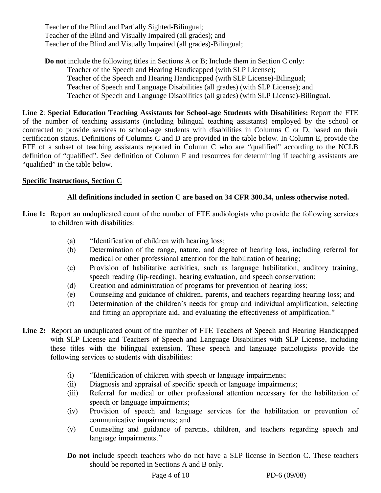Teacher of the Blind and Partially Sighted-Bilingual; Teacher of the Blind and Visually Impaired (all grades); and Teacher of the Blind and Visually Impaired (all grades)-Bilingual;

**Do not** include the following titles in Sections A or B; Include them in Section C only: Teacher of the Speech and Hearing Handicapped (with SLP License); Teacher of the Speech and Hearing Handicapped (with SLP License)-Bilingual; Teacher of Speech and Language Disabilities (all grades) (with SLP License); and Teacher of Speech and Language Disabilities (all grades) (with SLP License)-Bilingual.

**Line 2**: **Special Education Teaching Assistants for School-age Students with Disabilities:** Report the FTE of the number of teaching assistants (including bilingual teaching assistants) employed by the school or contracted to provide services to school-age students with disabilities in Columns C or D, based on their certification status. Definitions of Columns C and D are provided in the table below. In Column E, provide the FTE of a subset of teaching assistants reported in Column C who are "qualified" according to the NCLB definition of "qualified". See definition of Column F and resources for determining if teaching assistants are "qualified" in the table below.

## **Specific Instructions, Section C**

## **All definitions included in section C are based on 34 CFR 300.34, unless otherwise noted.**

- Line 1: Report an unduplicated count of the number of FTE audiologists who provide the following services to children with disabilities:
	- (a) "Identification of children with hearing loss;
	- (b) Determination of the range, nature, and degree of hearing loss, including referral for medical or other professional attention for the habilitation of hearing;
	- (c) Provision of habilitative activities, such as language habilitation, auditory training, speech reading (lip-reading), hearing evaluation, and speech conservation;
	- (d) Creation and administration of programs for prevention of hearing loss;
	- (e) Counseling and guidance of children, parents, and teachers regarding hearing loss; and
	- (f) Determination of the children's needs for group and individual amplification, selecting and fitting an appropriate aid, and evaluating the effectiveness of amplification."
- **Line 2:** Report an unduplicated count of the number of FTE Teachers of Speech and Hearing Handicapped with SLP License and Teachers of Speech and Language Disabilities with SLP License, including these titles with the bilingual extension. These speech and language pathologists provide the following services to students with disabilities:
	- (i) "Identification of children with speech or language impairments;
	- (ii) Diagnosis and appraisal of specific speech or language impairments;
	- (iii) Referral for medical or other professional attention necessary for the habilitation of speech or language impairments;
	- (iv) Provision of speech and language services for the habilitation or prevention of communicative impairments; and
	- (v) Counseling and guidance of parents, children, and teachers regarding speech and language impairments."
	- **Do not** include speech teachers who do not have a SLP license in Section C. These teachers should be reported in Sections A and B only.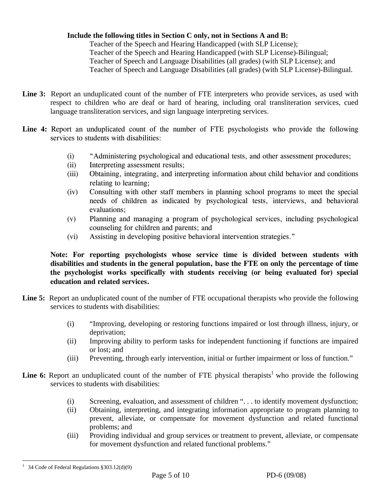#### **Include the following titles in Section C only, not in Sections A and B:**

Teacher of the Speech and Hearing Handicapped (with SLP License); Teacher of the Speech and Hearing Handicapped (with SLP License)-Bilingual; Teacher of Speech and Language Disabilities (all grades) (with SLP License); and Teacher of Speech and Language Disabilities (all grades) (with SLP License)-Bilingual.

- **Line 3:** Report an unduplicated count of the number of FTE interpreters who provide services, as used with respect to children who are deaf or hard of hearing, including oral transliteration services, cued language transliteration services, and sign language interpreting services.
- **Line 4:** Report an unduplicated count of the number of FTE psychologists who provide the following services to students with disabilities:
	- (i) "Administering psychological and educational tests, and other assessment procedures;
	- (ii) Interpreting assessment results;
	- (iii) Obtaining, integrating, and interpreting information about child behavior and conditions relating to learning;
	- (iv) Consulting with other staff members in planning school programs to meet the special needs of children as indicated by psychological tests, interviews, and behavioral evaluations;
	- (v) Planning and managing a program of psychological services, including psychological counseling for children and parents; and
	- (vi) Assisting in developing positive behavioral intervention strategies."

**Note: For reporting psychologists whose service time is divided between students with disabilities and students in the general population, base the FTE on only the percentage of time the psychologist works specifically with students receiving (or being evaluated for) special education and related services.** 

- Line 5: Report an unduplicated count of the number of FTE occupational therapists who provide the following services to students with disabilities:
	- (i) "Improving, developing or restoring functions impaired or lost through illness, injury, or deprivation;
	- (ii) Improving ability to perform tasks for independent functioning if functions are impaired or lost; and
	- (iii) Preventing, through early intervention, initial or further impairment or loss of function."
- **Line 6:** Report an unduplicated count of the number of FTE physical therapists<sup>1</sup> who provide the following services to students with disabilities:
	- (i) Screening, evaluation, and assessment of children ". . . to identify movement dysfunction;
	- (ii) Obtaining, interpreting, and integrating information appropriate to program planning to prevent, alleviate, or compensate for movement dysfunction and related functional problems; and
	- (iii) Providing individual and group services or treatment to prevent, alleviate, or compensate for movement dysfunction and related functional problems."

 $\overline{a}$ <sup>1</sup> 34 Code of Federal Regulations  $§ 303.12(d)(9)$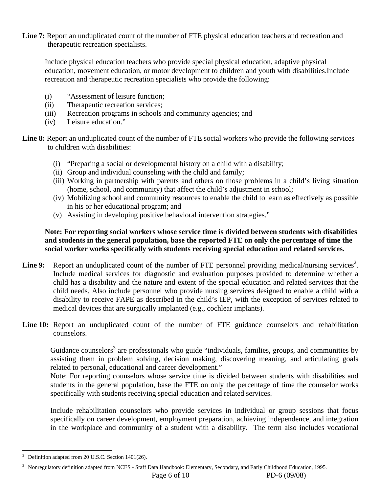Line 7: Report an unduplicated count of the number of FTE physical education teachers and recreation and therapeutic recreation specialists.

Include physical education teachers who provide special physical education, adaptive physical education, movement education, or motor development to children and youth with disabilities.Include recreation and therapeutic recreation specialists who provide the following:

- (i) "Assessment of leisure function;
- (ii) Therapeutic recreation services;
- (iii) Recreation programs in schools and community agencies; and
- (iv) Leisure education."

**Line 8:** Report an unduplicated count of the number of FTE social workers who provide the following services to children with disabilities:

- (i) "Preparing a social or developmental history on a child with a disability;
- (ii) Group and individual counseling with the child and family;
- (iii) Working in partnership with parents and others on those problems in a child's living situation (home, school, and community) that affect the child's adjustment in school;
- (iv) Mobilizing school and community resources to enable the child to learn as effectively as possible in his or her educational program; and
- (v) Assisting in developing positive behavioral intervention strategies."

#### **Note: For reporting social workers whose service time is divided between students with disabilities and students in the general population, base the reported FTE on only the percentage of time the social worker works specifically with students receiving special education and related services.**

- Line 9: Report an unduplicated count of the number of FTE personnel providing medical/nursing services<sup>2</sup>. Include medical services for diagnostic and evaluation purposes provided to determine whether a child has a disability and the nature and extent of the special education and related services that the child needs. Also include personnel who provide nursing services designed to enable a child with a disability to receive FAPE as described in the child's IEP, with the exception of services related to medical devices that are surgically implanted (e.g., cochlear implants).
- Line 10: Report an unduplicated count of the number of FTE guidance counselors and rehabilitation counselors.

Guidance counselors<sup>3</sup> are professionals who guide "individuals, families, groups, and communities by assisting them in problem solving, decision making, discovering meaning, and articulating goals related to personal, educational and career development."

Note: For reporting counselors whose service time is divided between students with disabilities and students in the general population, base the FTE on only the percentage of time the counselor works specifically with students receiving special education and related services.

 Include rehabilitation counselors who provide services in individual or group sessions that focus specifically on career development, employment preparation, achieving independence, and integration in the workplace and community of a student with a disability. The term also includes vocational

1

<sup>2</sup> Definition adapted from 20 U.S.C. Section 1401(26).

<sup>&</sup>lt;sup>3</sup> Nonregulatory definition adapted from NCES - Staff Data Handbook: Elementary, Secondary, and Early Childhood Education, 1995.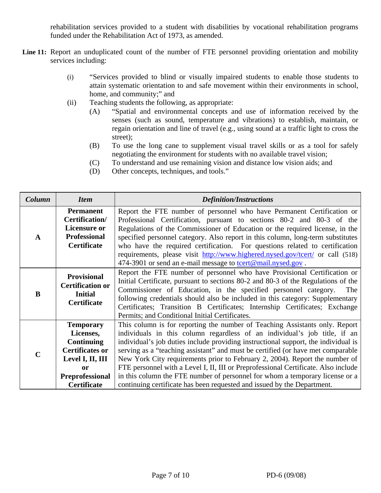rehabilitation services provided to a student with disabilities by vocational rehabilitation programs funded under the Rehabilitation Act of 1973, as amended.

- Line 11: Report an unduplicated count of the number of FTE personnel providing orientation and mobility services including:
	- (i) "Services provided to blind or visually impaired students to enable those students to attain systematic orientation to and safe movement within their environments in school, home, and community;" and
	- (ii) Teaching students the following, as appropriate:
		- (A) "Spatial and environmental concepts and use of information received by the senses (such as sound, temperature and vibrations) to establish, maintain, or regain orientation and line of travel (e.g., using sound at a traffic light to cross the street);
		- (B) To use the long cane to supplement visual travel skills or as a tool for safely negotiating the environment for students with no available travel vision;
		- (C) To understand and use remaining vision and distance low vision aids; and
		- (D) Other concepts, techniques, and tools."

| Column                                                                                                                                                 | <b>Item</b>                                                                                                                                                                                                                                                                                                                                                                                                                                                                                                                                       | <b>Definition/Instructions</b>                                                                                                                                                                                                                                                                                                                                                                                                                                                                                                                                                                                                                                    |  |  |  |  |
|--------------------------------------------------------------------------------------------------------------------------------------------------------|---------------------------------------------------------------------------------------------------------------------------------------------------------------------------------------------------------------------------------------------------------------------------------------------------------------------------------------------------------------------------------------------------------------------------------------------------------------------------------------------------------------------------------------------------|-------------------------------------------------------------------------------------------------------------------------------------------------------------------------------------------------------------------------------------------------------------------------------------------------------------------------------------------------------------------------------------------------------------------------------------------------------------------------------------------------------------------------------------------------------------------------------------------------------------------------------------------------------------------|--|--|--|--|
| $\mathbf{A}$                                                                                                                                           | <b>Permanent</b><br>Certification/<br><b>Licensure or</b><br><b>Professional</b><br><b>Certificate</b>                                                                                                                                                                                                                                                                                                                                                                                                                                            | Report the FTE number of personnel who have Permanent Certification or<br>Professional Certification, pursuant to sections 80-2 and 80-3 of the<br>Regulations of the Commissioner of Education or the required license, in the<br>specified personnel category. Also report in this column, long-term substitutes<br>who have the required certification. For questions related to certification<br>requirements, please visit http://www.highered.nysed.gov/tcert/ or call (518)<br>474-3901 or send an e-mail message to to tort@mail.nysed.gov.                                                                                                               |  |  |  |  |
| B                                                                                                                                                      | Report the FTE number of personnel who have Provisional Certification or<br><b>Provisional</b><br>Initial Certificate, pursuant to sections 80-2 and 80-3 of the Regulations of the<br><b>Certification or</b><br>Commissioner of Education, in the specified personnel category.<br>The<br><b>Initial</b><br>following credentials should also be included in this category: Supplementary<br><b>Certificate</b><br>Certificates; Transition B Certificates; Internship Certificates; Exchange<br>Permits; and Conditional Initial Certificates. |                                                                                                                                                                                                                                                                                                                                                                                                                                                                                                                                                                                                                                                                   |  |  |  |  |
| <b>Temporary</b><br>Licenses,<br><b>Continuing</b><br><b>Certificates or</b><br>Level I, II, III<br>or<br><b>Preprofessional</b><br><b>Certificate</b> |                                                                                                                                                                                                                                                                                                                                                                                                                                                                                                                                                   | This column is for reporting the number of Teaching Assistants only. Report<br>individuals in this column regardless of an individual's job title, if an<br>individual's job duties include providing instructional support, the individual is<br>serving as a "teaching assistant" and must be certified (or have met comparable<br>New York City requirements prior to February 2, 2004). Report the number of<br>FTE personnel with a Level I, II, III or Preprofessional Certificate. Also include<br>in this column the FTE number of personnel for whom a temporary license or a<br>continuing certificate has been requested and issued by the Department. |  |  |  |  |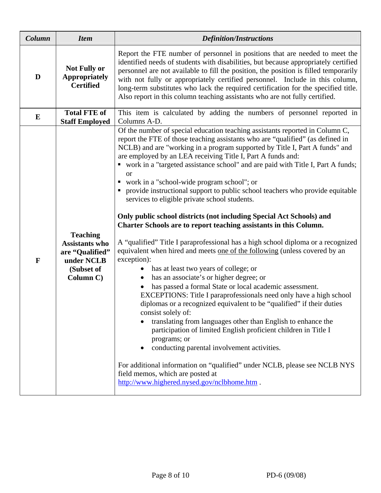| Column       | <b>Item</b>                                                                                          | <b>Definition/Instructions</b>                                                                                                                                                                                                                                                                                                                                                                                                                                                                                                                                                                                                                                                                                                                                                                                                                                                                                                                                                                                                                                                                                                                                                                                                                                                                                                                                                                                                                                                                                                                                                                               |  |  |  |  |
|--------------|------------------------------------------------------------------------------------------------------|--------------------------------------------------------------------------------------------------------------------------------------------------------------------------------------------------------------------------------------------------------------------------------------------------------------------------------------------------------------------------------------------------------------------------------------------------------------------------------------------------------------------------------------------------------------------------------------------------------------------------------------------------------------------------------------------------------------------------------------------------------------------------------------------------------------------------------------------------------------------------------------------------------------------------------------------------------------------------------------------------------------------------------------------------------------------------------------------------------------------------------------------------------------------------------------------------------------------------------------------------------------------------------------------------------------------------------------------------------------------------------------------------------------------------------------------------------------------------------------------------------------------------------------------------------------------------------------------------------------|--|--|--|--|
| D            | <b>Not Fully or</b><br><b>Appropriately</b><br><b>Certified</b>                                      | Report the FTE number of personnel in positions that are needed to meet the<br>identified needs of students with disabilities, but because appropriately certified<br>personnel are not available to fill the position, the position is filled temporarily<br>with not fully or appropriately certified personnel. Include in this column,<br>long-term substitutes who lack the required certification for the specified title.<br>Also report in this column teaching assistants who are not fully certified.                                                                                                                                                                                                                                                                                                                                                                                                                                                                                                                                                                                                                                                                                                                                                                                                                                                                                                                                                                                                                                                                                              |  |  |  |  |
| $\bf{E}$     | <b>Total FTE of</b><br><b>Staff Employed</b>                                                         | This item is calculated by adding the numbers of personnel reported in<br>Columns A-D.                                                                                                                                                                                                                                                                                                                                                                                                                                                                                                                                                                                                                                                                                                                                                                                                                                                                                                                                                                                                                                                                                                                                                                                                                                                                                                                                                                                                                                                                                                                       |  |  |  |  |
| $\mathbf{F}$ | <b>Teaching</b><br><b>Assistants who</b><br>are "Qualified"<br>under NCLB<br>(Subset of<br>Column C) | Of the number of special education teaching assistants reported in Column C,<br>report the FTE of those teaching assistants who are "qualified" (as defined in<br>NCLB) and are "working in a program supported by Title I, Part A funds" and<br>are employed by an LEA receiving Title I, Part A funds and:<br>• work in a "targeted assistance school" and are paid with Title I, Part A funds;<br>or<br>work in a "school-wide program school"; or<br>provide instructional support to public school teachers who provide equitable<br>services to eligible private school students.<br>Only public school districts (not including Special Act Schools) and<br>Charter Schools are to report teaching assistants in this Column.<br>A "qualified" Title I paraprofessional has a high school diploma or a recognized<br>equivalent when hired and meets one of the following (unless covered by an<br>exception):<br>has at least two years of college; or<br>has an associate's or higher degree; or<br>has passed a formal State or local academic assessment.<br>EXCEPTIONS: Title I paraprofessionals need only have a high school<br>diplomas or a recognized equivalent to be "qualified" if their duties<br>consist solely of:<br>translating from languages other than English to enhance the<br>participation of limited English proficient children in Title I<br>programs; or<br>conducting parental involvement activities.<br>For additional information on "qualified" under NCLB, please see NCLB NYS<br>field memos, which are posted at<br>http://www.highered.nysed.gov/nclbhome.htm . |  |  |  |  |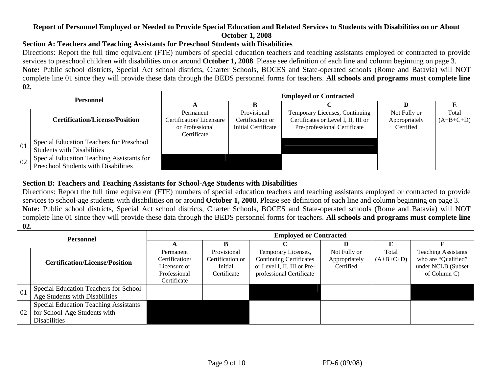#### **Report of Personnel Employed or Needed to Provide Special Education and Related Services to Students with Disabilities on or About October 1, 2008**

#### **Section A: Teachers and Teaching Assistants for Preschool Students with Disabilities**

Directions: Report the full time equivalent (FTE) numbers of special education teachers and teaching assistants employed or contracted to provide services to preschool children with disabilities on or around **October 1, 2008**. Please see definition of each line and column beginning on page 3. **Note:** Public school districts, Special Act school districts, Charter Schools, BOCES and State-operated schools (Rome and Batavia) will NOT complete line 01 since they will provide these data through the BEDS personnel forms for teachers. **All schools and programs must complete line 02.**

| <b>Personnel</b> |                                           | <b>Employed or Contracted</b> |                     |                                     |               |             |  |  |  |
|------------------|-------------------------------------------|-------------------------------|---------------------|-------------------------------------|---------------|-------------|--|--|--|
|                  |                                           |                               |                     |                                     |               |             |  |  |  |
|                  |                                           | Permanent                     | Provisional         | Temporary Licenses, Continuing      | Not Fully or  | Total       |  |  |  |
|                  | <b>Certification/License/Position</b>     | Certification/Licensure       | Certification or    | Certificates or Level I, II, III or | Appropriately | $(A+B+C+D)$ |  |  |  |
|                  |                                           | or Professional               | Initial Certificate | Pre-professional Certificate        | Certified     |             |  |  |  |
|                  |                                           | Certificate                   |                     |                                     |               |             |  |  |  |
| 01               | Special Education Teachers for Preschool  |                               |                     |                                     |               |             |  |  |  |
|                  | <b>Students with Disabilities</b>         |                               |                     |                                     |               |             |  |  |  |
| 02               | Special Education Teaching Assistants for |                               |                     |                                     |               |             |  |  |  |
|                  | Preschool Students with Disabilities      |                               |                     |                                     |               |             |  |  |  |

#### **Section B: Teachers and Teaching Assistants for School-Age Students with Disabilities**

Directions: Report the full time equivalent (FTE) numbers of special education teachers and teaching assistants employed or contracted to provide services to school-age students with disabilities on or around **October 1, 2008**. Please see definition of each line and column beginning on page 3. **Note:** Public school districts, Special Act school districts, Charter Schools, BOCES and State-operated schools (Rome and Batavia) will NOT complete line 01 since they will provide these data through the BEDS personnel forms for teachers. **All schools and programs must complete line 02.**

| <b>Personnel</b> |                                              | <b>Employed or Contracted</b> |                  |                                |               |             |                            |  |  |
|------------------|----------------------------------------------|-------------------------------|------------------|--------------------------------|---------------|-------------|----------------------------|--|--|
|                  |                                              |                               |                  |                                |               |             |                            |  |  |
|                  |                                              | Permanent                     | Provisional      | Temporary Licenses,            | Not Fully or  | Total       | <b>Teaching Assistants</b> |  |  |
|                  | <b>Certification/License/Position</b>        | Certification/                | Certification or | <b>Continuing Certificates</b> | Appropriately | $(A+B+C+D)$ | who are "Qualified"        |  |  |
|                  |                                              | Licensure or                  | Initial          | or Level I, II, III or Pre-    | Certified     |             | under NCLB (Subset         |  |  |
|                  |                                              | Professional                  | Certificate      | professional Certificate       |               |             | of Column C)               |  |  |
|                  |                                              | Certificate                   |                  |                                |               |             |                            |  |  |
| 01               | Special Education Teachers for School-       |                               |                  |                                |               |             |                            |  |  |
|                  | Age Students with Disabilities               |                               |                  |                                |               |             |                            |  |  |
| 02               | <b>Special Education Teaching Assistants</b> |                               |                  |                                |               |             |                            |  |  |
|                  | for School-Age Students with                 |                               |                  |                                |               |             |                            |  |  |
|                  | <b>Disabilities</b>                          |                               |                  |                                |               |             |                            |  |  |